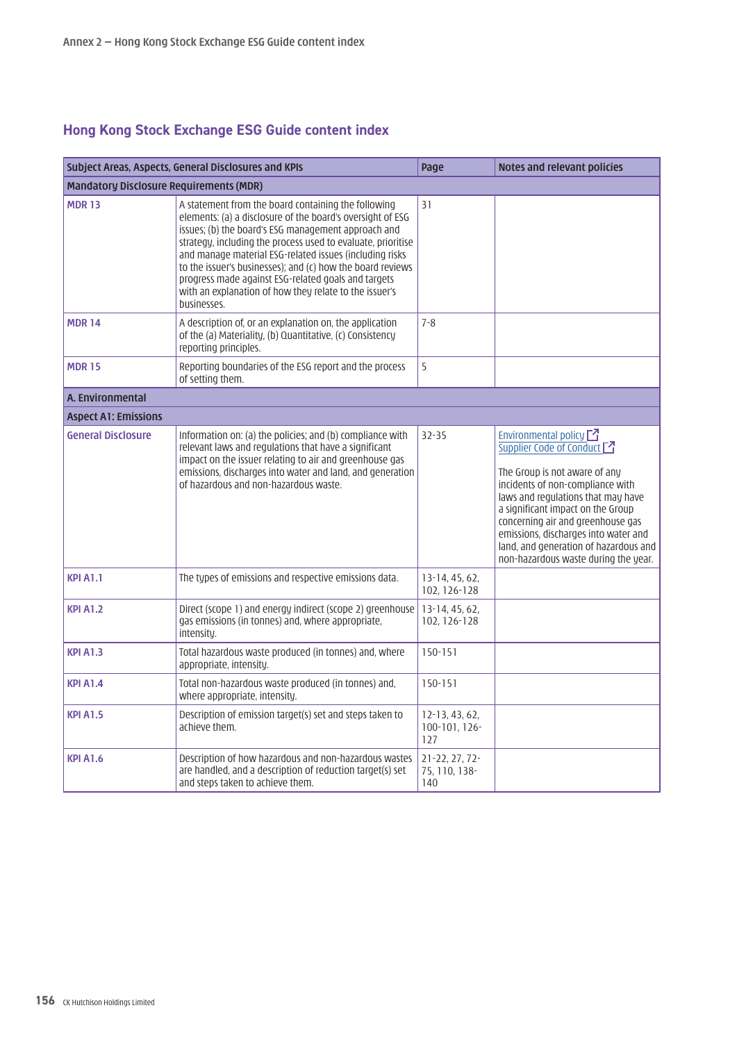## **Hong Kong Stock Exchange ESG Guide content index**

| Subject Areas, Aspects, General Disclosures and KPIs |                                                                                                                                                                                                                                                                                                                                                                                                                                                                                                   | Page                                     | Notes and relevant policies                                                                                                                                                                                                                                                                                                                                           |
|------------------------------------------------------|---------------------------------------------------------------------------------------------------------------------------------------------------------------------------------------------------------------------------------------------------------------------------------------------------------------------------------------------------------------------------------------------------------------------------------------------------------------------------------------------------|------------------------------------------|-----------------------------------------------------------------------------------------------------------------------------------------------------------------------------------------------------------------------------------------------------------------------------------------------------------------------------------------------------------------------|
| <b>Mandatory Disclosure Requirements (MDR)</b>       |                                                                                                                                                                                                                                                                                                                                                                                                                                                                                                   |                                          |                                                                                                                                                                                                                                                                                                                                                                       |
| <b>MDR13</b>                                         | A statement from the board containing the following<br>elements: (a) a disclosure of the board's oversight of ESG<br>issues; (b) the board's ESG management approach and<br>strategy, including the process used to evaluate, prioritise<br>and manage material ESG-related issues (including risks<br>to the issuer's businesses); and (c) how the board reviews<br>progress made against ESG-related goals and targets<br>with an explanation of how they relate to the issuer's<br>businesses. | 31                                       |                                                                                                                                                                                                                                                                                                                                                                       |
| <b>MDR14</b>                                         | A description of, or an explanation on, the application<br>of the (a) Materiality, (b) Quantitative, (c) Consistency<br>reporting principles.                                                                                                                                                                                                                                                                                                                                                     | $7 - 8$                                  |                                                                                                                                                                                                                                                                                                                                                                       |
| <b>MDR15</b>                                         | Reporting boundaries of the ESG report and the process<br>of setting them.                                                                                                                                                                                                                                                                                                                                                                                                                        | 5                                        |                                                                                                                                                                                                                                                                                                                                                                       |
| A. Environmental                                     |                                                                                                                                                                                                                                                                                                                                                                                                                                                                                                   |                                          |                                                                                                                                                                                                                                                                                                                                                                       |
| <b>Aspect A1: Emissions</b>                          |                                                                                                                                                                                                                                                                                                                                                                                                                                                                                                   |                                          |                                                                                                                                                                                                                                                                                                                                                                       |
| <b>General Disclosure</b>                            | Information on: (a) the policies; and (b) compliance with<br>relevant laws and regulations that have a significant<br>impact on the issuer relating to air and greenhouse gas<br>emissions, discharges into water and land, and generation<br>of hazardous and non-hazardous waste.                                                                                                                                                                                                               | $32 - 35$                                | Environmental policy $\Box$<br>Supplier Code of Conduct<br>The Group is not aware of any<br>incidents of non-compliance with<br>laws and regulations that may have<br>a significant impact on the Group<br>concerning air and greenhouse gas<br>emissions, discharges into water and<br>land, and generation of hazardous and<br>non-hazardous waste during the year. |
| <b>KPI A1.1</b>                                      | The types of emissions and respective emissions data.                                                                                                                                                                                                                                                                                                                                                                                                                                             | 13-14, 45, 62,<br>102, 126-128           |                                                                                                                                                                                                                                                                                                                                                                       |
| <b>KPI A1.2</b>                                      | Direct (scope 1) and energy indirect (scope 2) greenhouse<br>gas emissions (in tonnes) and, where appropriate,<br>intensity.                                                                                                                                                                                                                                                                                                                                                                      | 13-14, 45, 62,<br>102, 126-128           |                                                                                                                                                                                                                                                                                                                                                                       |
| <b>KPI A1.3</b>                                      | Total hazardous waste produced (in tonnes) and, where<br>appropriate, intensity.                                                                                                                                                                                                                                                                                                                                                                                                                  | $150 - 151$                              |                                                                                                                                                                                                                                                                                                                                                                       |
| <b>KPI A1.4</b>                                      | Total non-hazardous waste produced (in tonnes) and,<br>where appropriate, intensity.                                                                                                                                                                                                                                                                                                                                                                                                              | $150 - 151$                              |                                                                                                                                                                                                                                                                                                                                                                       |
| <b>KPI A1.5</b>                                      | Description of emission target(s) set and steps taken to<br>achieve them.                                                                                                                                                                                                                                                                                                                                                                                                                         | $12-13, 43, 62,$<br>100-101, 126-<br>127 |                                                                                                                                                                                                                                                                                                                                                                       |
| <b>KPI A1.6</b>                                      | Description of how hazardous and non-hazardous wastes<br>are handled, and a description of reduction target(s) set<br>and steps taken to achieve them.                                                                                                                                                                                                                                                                                                                                            | 21-22, 27, 72-<br>75, 110, 138-<br>140   |                                                                                                                                                                                                                                                                                                                                                                       |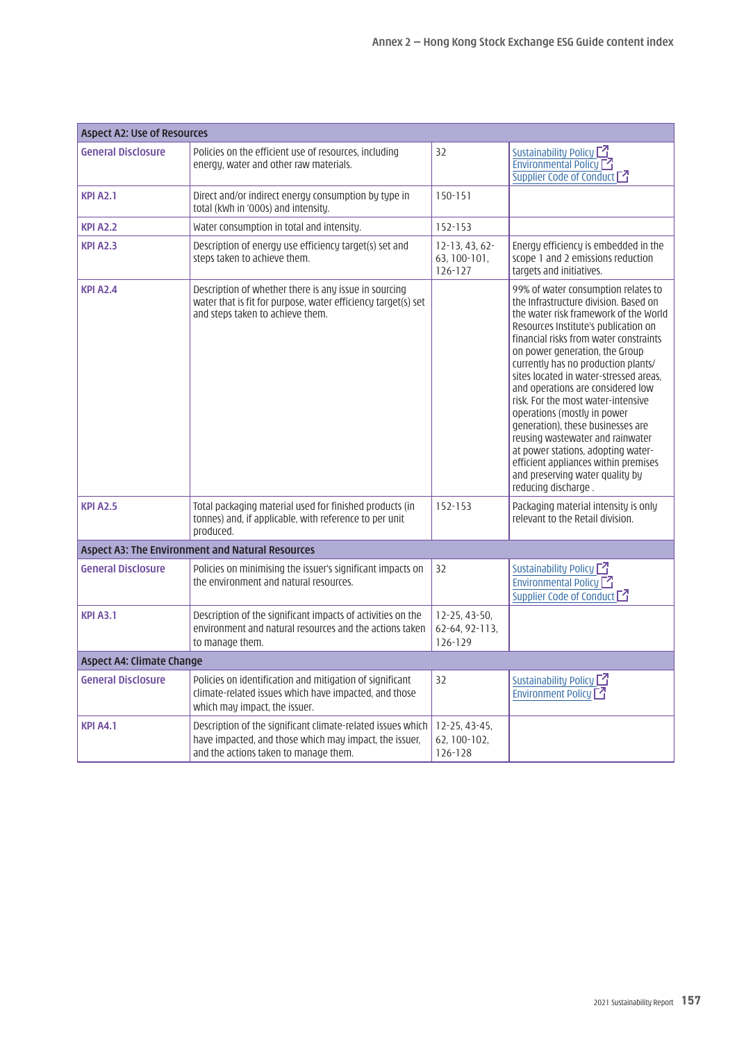| <b>Aspect A2: Use of Resources</b> |                                                                                                                                                                |                                                 |                                                                                                                                                                                                                                                                                                                                                                                                                                                                                                                                                                                                                                                       |
|------------------------------------|----------------------------------------------------------------------------------------------------------------------------------------------------------------|-------------------------------------------------|-------------------------------------------------------------------------------------------------------------------------------------------------------------------------------------------------------------------------------------------------------------------------------------------------------------------------------------------------------------------------------------------------------------------------------------------------------------------------------------------------------------------------------------------------------------------------------------------------------------------------------------------------------|
| <b>General Disclosure</b>          | Policies on the efficient use of resources, including<br>energy, water and other raw materials.                                                                | 32                                              | Sustainability Policy <sup>7</sup><br>Environmental Policy <sup>7</sup><br>Supplier Code of Conduct [7]                                                                                                                                                                                                                                                                                                                                                                                                                                                                                                                                               |
| <b>KPI A2.1</b>                    | Direct and/or indirect energy consumption by type in<br>total (kWh in '000s) and intensity.                                                                    | $150 - 151$                                     |                                                                                                                                                                                                                                                                                                                                                                                                                                                                                                                                                                                                                                                       |
| <b>KPI A2.2</b>                    | Water consumption in total and intensity.                                                                                                                      | 152-153                                         |                                                                                                                                                                                                                                                                                                                                                                                                                                                                                                                                                                                                                                                       |
| <b>KPI A2.3</b>                    | Description of energy use efficiency target(s) set and<br>steps taken to achieve them.                                                                         | $12-13, 43, 62-$<br>63, 100-101,<br>$126 - 127$ | Energy efficiency is embedded in the<br>scope 1 and 2 emissions reduction<br>targets and initiatives.                                                                                                                                                                                                                                                                                                                                                                                                                                                                                                                                                 |
| <b>KPI A2.4</b>                    | Description of whether there is any issue in sourcing<br>water that is fit for purpose, water efficiency target(s) set<br>and steps taken to achieve them.     |                                                 | 99% of water consumption relates to<br>the Infrastructure division. Based on<br>the water risk framework of the World<br>Resources Institute's publication on<br>financial risks from water constraints<br>on power generation, the Group<br>currently has no production plants/<br>sites located in water-stressed areas.<br>and operations are considered low<br>risk. For the most water-intensive<br>operations (mostly in power<br>generation), these businesses are<br>reusing wastewater and rainwater<br>at power stations, adopting water-<br>efficient appliances within premises<br>and preserving water quality by<br>reducing discharge. |
| <b>KPI A2.5</b>                    | Total packaging material used for finished products (in<br>tonnes) and, if applicable, with reference to per unit<br>produced.                                 | $152 - 153$                                     | Packaging material intensity is only<br>relevant to the Retail division.                                                                                                                                                                                                                                                                                                                                                                                                                                                                                                                                                                              |
|                                    | Aspect A3: The Environment and Natural Resources                                                                                                               |                                                 |                                                                                                                                                                                                                                                                                                                                                                                                                                                                                                                                                                                                                                                       |
| <b>General Disclosure</b>          | Policies on minimising the issuer's significant impacts on<br>the environment and natural resources.                                                           | 32                                              | Sustainability Policy $\Box$<br>Environmental Policy <sup>7</sup><br>Supplier Code of Conduct [2]                                                                                                                                                                                                                                                                                                                                                                                                                                                                                                                                                     |
| <b>KPI A3.1</b>                    | Description of the significant impacts of activities on the<br>environment and natural resources and the actions taken<br>to manage them.                      | $12-25, 43-50,$<br>62-64, 92-113,<br>126-129    |                                                                                                                                                                                                                                                                                                                                                                                                                                                                                                                                                                                                                                                       |
| <b>Aspect A4: Climate Change</b>   |                                                                                                                                                                |                                                 |                                                                                                                                                                                                                                                                                                                                                                                                                                                                                                                                                                                                                                                       |
| <b>General Disclosure</b>          | Policies on identification and mitigation of significant<br>climate-related issues which have impacted, and those<br>which may impact, the issuer.             | 32                                              | Sustainability Policy<br>Environment Policy <sup>7</sup>                                                                                                                                                                                                                                                                                                                                                                                                                                                                                                                                                                                              |
| <b>KPI A4.1</b>                    | Description of the significant climate-related issues which<br>have impacted, and those which may impact, the issuer,<br>and the actions taken to manage them. | 12-25, 43-45,<br>62, 100-102,<br>126-128        |                                                                                                                                                                                                                                                                                                                                                                                                                                                                                                                                                                                                                                                       |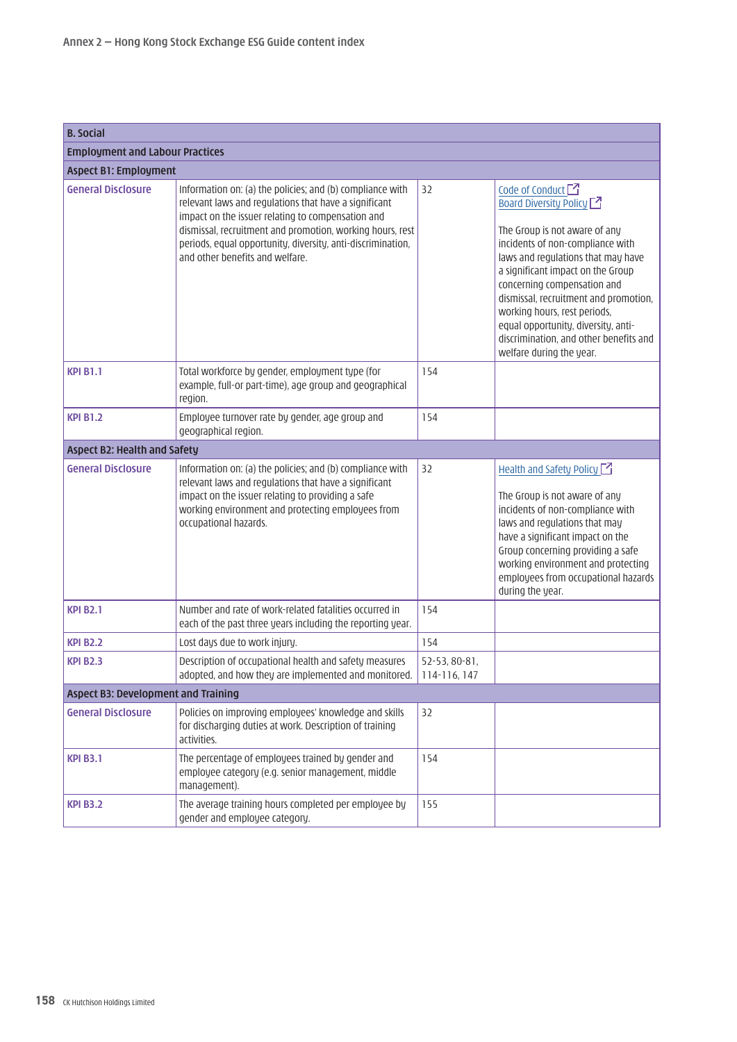| <b>B.</b> Social                           |                                                                                                                                                                                                                                                                                                                                        |                               |                                                                                                                                                                                                                                                                                                                                                                                                                                   |  |
|--------------------------------------------|----------------------------------------------------------------------------------------------------------------------------------------------------------------------------------------------------------------------------------------------------------------------------------------------------------------------------------------|-------------------------------|-----------------------------------------------------------------------------------------------------------------------------------------------------------------------------------------------------------------------------------------------------------------------------------------------------------------------------------------------------------------------------------------------------------------------------------|--|
| <b>Employment and Labour Practices</b>     |                                                                                                                                                                                                                                                                                                                                        |                               |                                                                                                                                                                                                                                                                                                                                                                                                                                   |  |
| <b>Aspect B1: Employment</b>               |                                                                                                                                                                                                                                                                                                                                        |                               |                                                                                                                                                                                                                                                                                                                                                                                                                                   |  |
| <b>General Disclosure</b>                  | Information on: (a) the policies; and (b) compliance with<br>relevant laws and regulations that have a significant<br>impact on the issuer relating to compensation and<br>dismissal, recruitment and promotion, working hours, rest<br>periods, equal opportunity, diversity, anti-discrimination,<br>and other benefits and welfare. | 32                            | Code of Conduct $\Box$<br><b>Board Diversity Policy [47]</b><br>The Group is not aware of any<br>incidents of non-compliance with<br>laws and regulations that may have<br>a significant impact on the Group<br>concerning compensation and<br>dismissal, recruitment and promotion,<br>working hours, rest periods,<br>equal opportunity, diversity, anti-<br>discrimination, and other benefits and<br>welfare during the year. |  |
| <b>KPI B1.1</b>                            | Total workforce by gender, employment type (for<br>example, full-or part-time), age group and geographical<br>region.                                                                                                                                                                                                                  | 154                           |                                                                                                                                                                                                                                                                                                                                                                                                                                   |  |
| <b>KPI B1.2</b>                            | Employee turnover rate by gender, age group and<br>geographical region.                                                                                                                                                                                                                                                                | 154                           |                                                                                                                                                                                                                                                                                                                                                                                                                                   |  |
| <b>Aspect B2: Health and Safety</b>        |                                                                                                                                                                                                                                                                                                                                        |                               |                                                                                                                                                                                                                                                                                                                                                                                                                                   |  |
| <b>General Disclosure</b>                  | Information on: (a) the policies; and (b) compliance with<br>relevant laws and regulations that have a significant<br>impact on the issuer relating to providing a safe<br>working environment and protecting employees from<br>occupational hazards.                                                                                  | 32                            | Health and Safety Policy $\Box$<br>The Group is not aware of any<br>incidents of non-compliance with<br>laws and regulations that may<br>have a significant impact on the<br>Group concerning providing a safe<br>working environment and protecting<br>employees from occupational hazards<br>during the year.                                                                                                                   |  |
| <b>KPI B2.1</b>                            | Number and rate of work-related fatalities occurred in<br>each of the past three years including the reporting year.                                                                                                                                                                                                                   | 154                           |                                                                                                                                                                                                                                                                                                                                                                                                                                   |  |
| <b>KPI B2.2</b>                            | Lost days due to work injury.                                                                                                                                                                                                                                                                                                          | 154                           |                                                                                                                                                                                                                                                                                                                                                                                                                                   |  |
| <b>KPI B2.3</b>                            | Description of occupational health and safety measures<br>adopted, and how they are implemented and monitored.                                                                                                                                                                                                                         | 52-53, 80-81,<br>114-116, 147 |                                                                                                                                                                                                                                                                                                                                                                                                                                   |  |
| <b>Aspect B3: Development and Training</b> |                                                                                                                                                                                                                                                                                                                                        |                               |                                                                                                                                                                                                                                                                                                                                                                                                                                   |  |
| <b>General Disclosure</b>                  | Policies on improving employees' knowledge and skills<br>for discharging duties at work. Description of training<br>activities.                                                                                                                                                                                                        | 32                            |                                                                                                                                                                                                                                                                                                                                                                                                                                   |  |
| <b>KPI B3.1</b>                            | The percentage of employees trained by gender and<br>employee category (e.g. senior management, middle<br>management).                                                                                                                                                                                                                 | 154                           |                                                                                                                                                                                                                                                                                                                                                                                                                                   |  |
| <b>KPI B3.2</b>                            | The average training hours completed per employee by<br>gender and employee category.                                                                                                                                                                                                                                                  | 155                           |                                                                                                                                                                                                                                                                                                                                                                                                                                   |  |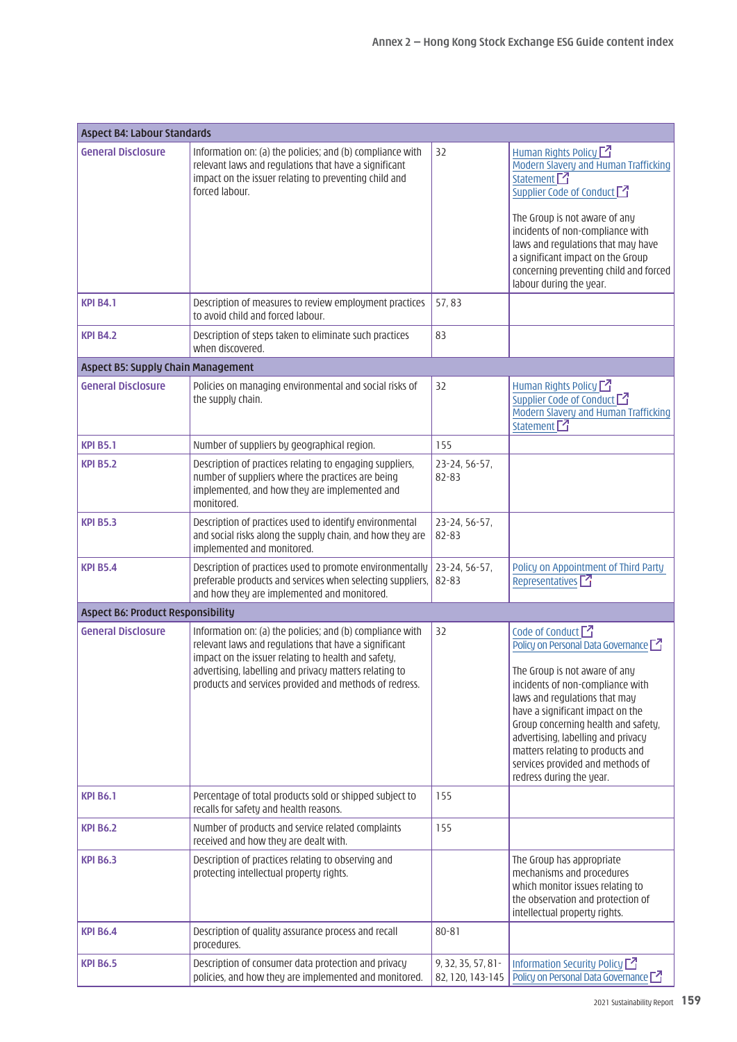| <b>Aspect B4: Labour Standards</b>       |                                                                                                                                                                                                                                                                                               |                                        |                                                                                                                                                                                                                                                                                                                                                                                                      |
|------------------------------------------|-----------------------------------------------------------------------------------------------------------------------------------------------------------------------------------------------------------------------------------------------------------------------------------------------|----------------------------------------|------------------------------------------------------------------------------------------------------------------------------------------------------------------------------------------------------------------------------------------------------------------------------------------------------------------------------------------------------------------------------------------------------|
| <b>General Disclosure</b>                | Information on: (a) the policies; and (b) compliance with<br>relevant laws and regulations that have a significant<br>impact on the issuer relating to preventing child and<br>forced labour.                                                                                                 | 32                                     | Human Rights Policy $\Box$<br>Modern Slavery and Human Trafficking<br>Statement <sup>7</sup><br>Supplier Code of Conduct<br>The Group is not aware of any<br>incidents of non-compliance with<br>laws and regulations that may have<br>a significant impact on the Group<br>concerning preventing child and forced<br>labour during the year.                                                        |
| <b>KPI B4.1</b>                          | Description of measures to review employment practices<br>to avoid child and forced labour.                                                                                                                                                                                                   | 57,83                                  |                                                                                                                                                                                                                                                                                                                                                                                                      |
| <b>KPI B4.2</b>                          | Description of steps taken to eliminate such practices<br>when discovered.                                                                                                                                                                                                                    | 83                                     |                                                                                                                                                                                                                                                                                                                                                                                                      |
| Aspect B5: Supply Chain Management       |                                                                                                                                                                                                                                                                                               |                                        |                                                                                                                                                                                                                                                                                                                                                                                                      |
| <b>General Disclosure</b>                | Policies on managing environmental and social risks of<br>the supply chain.                                                                                                                                                                                                                   | 32                                     | Human Rights Policy <sup>7</sup><br>Supplier Code of Conduct [2]<br>Modern Slavery and Human Trafficking<br>Statement <sup>7</sup>                                                                                                                                                                                                                                                                   |
| <b>KPI B5.1</b>                          | Number of suppliers by geographical region.                                                                                                                                                                                                                                                   | 155                                    |                                                                                                                                                                                                                                                                                                                                                                                                      |
| <b>KPI B5.2</b>                          | Description of practices relating to engaging suppliers,<br>number of suppliers where the practices are being<br>implemented, and how they are implemented and<br>monitored.                                                                                                                  | 23-24, 56-57,<br>82-83                 |                                                                                                                                                                                                                                                                                                                                                                                                      |
| <b>KPI B5.3</b>                          | Description of practices used to identify environmental<br>and social risks along the supply chain, and how they are<br>implemented and monitored.                                                                                                                                            | 23-24, 56-57,<br>82-83                 |                                                                                                                                                                                                                                                                                                                                                                                                      |
| <b>KPI B5.4</b>                          | Description of practices used to promote environmentally<br>preferable products and services when selecting suppliers,<br>and how they are implemented and monitored.                                                                                                                         | 23-24, 56-57,<br>82-83                 | Policy on Appointment of Third Party<br>Representatives <sup>[7]</sup>                                                                                                                                                                                                                                                                                                                               |
| <b>Aspect B6: Product Responsibility</b> |                                                                                                                                                                                                                                                                                               |                                        |                                                                                                                                                                                                                                                                                                                                                                                                      |
| <b>General Disclosure</b>                | Information on: (a) the policies; and (b) compliance with<br>relevant laws and regulations that have a significant<br>impact on the issuer relating to health and safety,<br>advertising, labelling and privacy matters relating to<br>products and services provided and methods of redress. | 32                                     | Code of Conduct <sup>7</sup><br>Policy on Personal Data Governance $\Box$<br>The Group is not aware of any<br>incidents of non-compliance with<br>laws and regulations that may<br>have a significant impact on the<br>Group concerning health and safety,<br>advertising, labelling and privacy<br>matters relating to products and<br>services provided and methods of<br>redress during the year. |
| <b>KPI B6.1</b>                          | Percentage of total products sold or shipped subject to<br>recalls for safety and health reasons.                                                                                                                                                                                             | 155                                    |                                                                                                                                                                                                                                                                                                                                                                                                      |
| <b>KPI B6.2</b>                          | Number of products and service related complaints<br>received and how they are dealt with.                                                                                                                                                                                                    | 155                                    |                                                                                                                                                                                                                                                                                                                                                                                                      |
| <b>KPI B6.3</b>                          | Description of practices relating to observing and<br>protecting intellectual property rights.                                                                                                                                                                                                |                                        | The Group has appropriate<br>mechanisms and procedures<br>which monitor issues relating to<br>the observation and protection of<br>intellectual property rights.                                                                                                                                                                                                                                     |
| <b>KPI B6.4</b>                          | Description of quality assurance process and recall<br>procedures.                                                                                                                                                                                                                            | $80 - 81$                              |                                                                                                                                                                                                                                                                                                                                                                                                      |
| <b>KPI B6.5</b>                          | Description of consumer data protection and privacy<br>policies, and how they are implemented and monitored.                                                                                                                                                                                  | 9, 32, 35, 57, 81-<br>82, 120, 143-145 | Information Security Policy $\Box$<br>Policy on Personal Data Governance [2]                                                                                                                                                                                                                                                                                                                         |